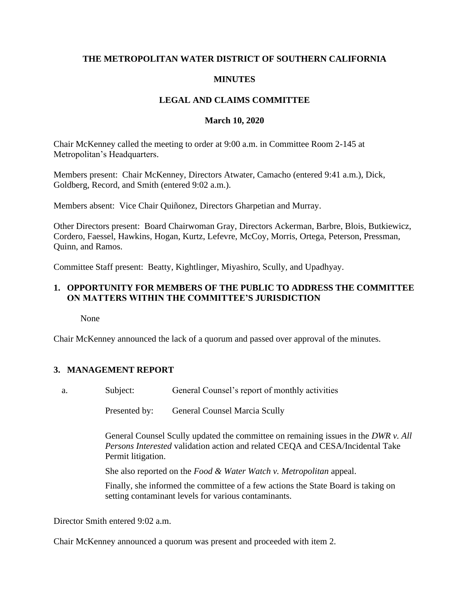## **THE METROPOLITAN WATER DISTRICT OF SOUTHERN CALIFORNIA**

## **MINUTES**

## **LEGAL AND CLAIMS COMMITTEE**

#### **March 10, 2020**

Chair McKenney called the meeting to order at 9:00 a.m. in Committee Room 2-145 at Metropolitan's Headquarters.

Members present: Chair McKenney, Directors Atwater, Camacho (entered 9:41 a.m.), Dick, Goldberg, Record, and Smith (entered 9:02 a.m.).

Members absent: Vice Chair Quiñonez, Directors Gharpetian and Murray.

Other Directors present: Board Chairwoman Gray, Directors Ackerman, Barbre, Blois, Butkiewicz, Cordero, Faessel, Hawkins, Hogan, Kurtz, Lefevre, McCoy, Morris, Ortega, Peterson, Pressman, Quinn, and Ramos.

Committee Staff present: Beatty, Kightlinger, Miyashiro, Scully, and Upadhyay.

### **1. OPPORTUNITY FOR MEMBERS OF THE PUBLIC TO ADDRESS THE COMMITTEE ON MATTERS WITHIN THE COMMITTEE'S JURISDICTION**

None

Chair McKenney announced the lack of a quorum and passed over approval of the minutes.

### **3. MANAGEMENT REPORT**

a. Subject: General Counsel's report of monthly activities

Presented by: General Counsel Marcia Scully

General Counsel Scully updated the committee on remaining issues in the *DWR v. All Persons Interested* validation action and related CEQA and CESA/Incidental Take Permit litigation.

She also reported on the *Food & Water Watch v. Metropolitan* appeal.

Finally, she informed the committee of a few actions the State Board is taking on setting contaminant levels for various contaminants.

Director Smith entered 9:02 a.m.

Chair McKenney announced a quorum was present and proceeded with item 2.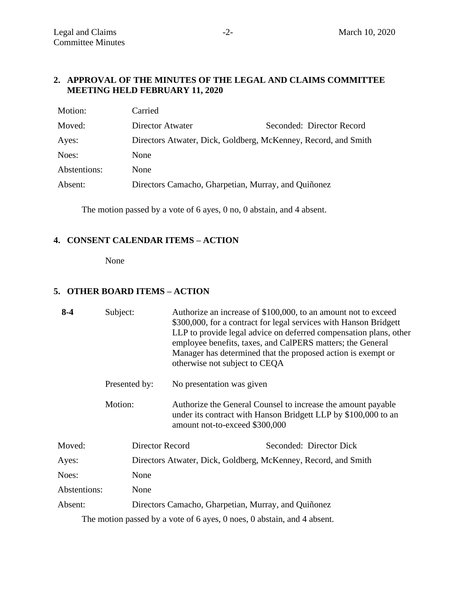## **2. APPROVAL OF THE MINUTES OF THE LEGAL AND CLAIMS COMMITTEE MEETING HELD FEBRUARY 11, 2020**

| Motion:      | Carried                                                        |                           |
|--------------|----------------------------------------------------------------|---------------------------|
| Moved:       | Director Atwater                                               | Seconded: Director Record |
| Ayes:        | Directors Atwater, Dick, Goldberg, McKenney, Record, and Smith |                           |
| Noes:        | None                                                           |                           |
| Abstentions: | None                                                           |                           |
| Absent:      | Directors Camacho, Gharpetian, Murray, and Quiñonez            |                           |
|              |                                                                |                           |

The motion passed by a vote of 6 ayes, 0 no, 0 abstain, and 4 absent.

## **4. CONSENT CALENDAR ITEMS – ACTION**

None

## **5. OTHER BOARD ITEMS – ACTION**

| $8 - 4$      | Subject:      |                                                                | otherwise not subject to CEQA                                                                                                                                    | Authorize an increase of \$100,000, to an amount not to exceed<br>\$300,000, for a contract for legal services with Hanson Bridgett<br>LLP to provide legal advice on deferred compensation plans, other<br>employee benefits, taxes, and CalPERS matters; the General<br>Manager has determined that the proposed action is exempt or |
|--------------|---------------|----------------------------------------------------------------|------------------------------------------------------------------------------------------------------------------------------------------------------------------|----------------------------------------------------------------------------------------------------------------------------------------------------------------------------------------------------------------------------------------------------------------------------------------------------------------------------------------|
|              | Presented by: |                                                                | No presentation was given                                                                                                                                        |                                                                                                                                                                                                                                                                                                                                        |
|              | Motion:       |                                                                | Authorize the General Counsel to increase the amount payable<br>under its contract with Hanson Bridgett LLP by \$100,000 to an<br>amount not-to-exceed \$300,000 |                                                                                                                                                                                                                                                                                                                                        |
| Moved:       |               | Director Record                                                |                                                                                                                                                                  | Seconded: Director Dick                                                                                                                                                                                                                                                                                                                |
| Ayes:        |               | Directors Atwater, Dick, Goldberg, McKenney, Record, and Smith |                                                                                                                                                                  |                                                                                                                                                                                                                                                                                                                                        |
| Noes:        |               | None                                                           |                                                                                                                                                                  |                                                                                                                                                                                                                                                                                                                                        |
| Abstentions: |               | None                                                           |                                                                                                                                                                  |                                                                                                                                                                                                                                                                                                                                        |
| Absent:      |               |                                                                | Directors Camacho, Gharpetian, Murray, and Quiñonez                                                                                                              |                                                                                                                                                                                                                                                                                                                                        |
|              |               |                                                                | The motion passed by a vote of 6 ayes, 0 noes, 0 abstain, and 4 absent.                                                                                          |                                                                                                                                                                                                                                                                                                                                        |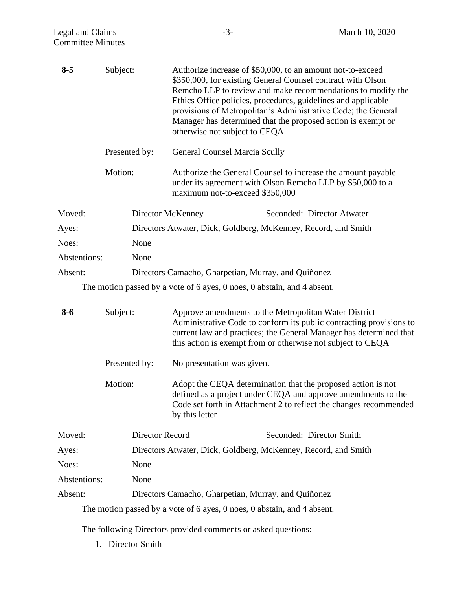| $8 - 5$      | Subject:        |                                                                | Authorize increase of \$50,000, to an amount not-to-exceed<br>\$350,000, for existing General Counsel contract with Olson<br>Remcho LLP to review and make recommendations to modify the<br>Ethics Office policies, procedures, guidelines and applicable<br>provisions of Metropolitan's Administrative Code; the General<br>Manager has determined that the proposed action is exempt or<br>otherwise not subject to CEQA |
|--------------|-----------------|----------------------------------------------------------------|-----------------------------------------------------------------------------------------------------------------------------------------------------------------------------------------------------------------------------------------------------------------------------------------------------------------------------------------------------------------------------------------------------------------------------|
|              | Presented by:   |                                                                | <b>General Counsel Marcia Scully</b>                                                                                                                                                                                                                                                                                                                                                                                        |
|              | Motion:         |                                                                | Authorize the General Counsel to increase the amount payable<br>under its agreement with Olson Remcho LLP by \$50,000 to a<br>maximum not-to-exceed \$350,000                                                                                                                                                                                                                                                               |
| Moved:       |                 | Director McKenney                                              | Seconded: Director Atwater                                                                                                                                                                                                                                                                                                                                                                                                  |
| Ayes:        |                 | Directors Atwater, Dick, Goldberg, McKenney, Record, and Smith |                                                                                                                                                                                                                                                                                                                                                                                                                             |
| Noes:        | None            |                                                                |                                                                                                                                                                                                                                                                                                                                                                                                                             |
| Abstentions: | None            |                                                                |                                                                                                                                                                                                                                                                                                                                                                                                                             |
| Absent:      |                 |                                                                | Directors Camacho, Gharpetian, Murray, and Quiñonez                                                                                                                                                                                                                                                                                                                                                                         |
|              |                 |                                                                | The motion passed by a vote of 6 ayes, 0 noes, 0 abstain, and 4 absent.                                                                                                                                                                                                                                                                                                                                                     |
| $8 - 6$      | Subject:        |                                                                | Approve amendments to the Metropolitan Water District<br>Administrative Code to conform its public contracting provisions to<br>current law and practices; the General Manager has determined that<br>this action is exempt from or otherwise not subject to CEQA                                                                                                                                                           |
|              | Presented by:   | No presentation was given.                                     |                                                                                                                                                                                                                                                                                                                                                                                                                             |
|              | Motion:         | by this letter                                                 | Adopt the CEQA determination that the proposed action is not<br>defined as a project under CEQA and approve amendments to the<br>Code set forth in Attachment 2 to reflect the changes recommended                                                                                                                                                                                                                          |
| Moved:       | Director Record |                                                                | Seconded: Director Smith                                                                                                                                                                                                                                                                                                                                                                                                    |
| Ayes:        |                 | Directors Atwater, Dick, Goldberg, McKenney, Record, and Smith |                                                                                                                                                                                                                                                                                                                                                                                                                             |
| Noes:        | None            |                                                                |                                                                                                                                                                                                                                                                                                                                                                                                                             |
| Abstentions: | None            |                                                                |                                                                                                                                                                                                                                                                                                                                                                                                                             |
| Absent:      |                 |                                                                | Directors Camacho, Gharpetian, Murray, and Quiñonez                                                                                                                                                                                                                                                                                                                                                                         |
|              |                 |                                                                | The motion passed by a vote of 6 ayes, 0 noes, 0 abstain, and 4 absent.                                                                                                                                                                                                                                                                                                                                                     |

The following Directors provided comments or asked questions:

1. Director Smith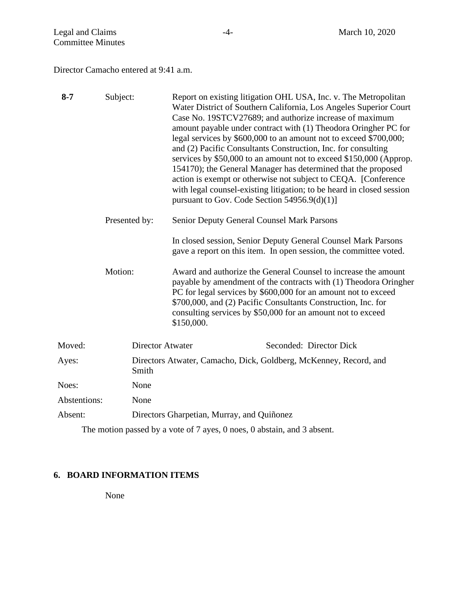Director Camacho entered at 9:41 a.m.

| $8 - 7$      | Subject:      |                                                                            | Report on existing litigation OHL USA, Inc. v. The Metropolitan<br>Water District of Southern California, Los Angeles Superior Court<br>Case No. 19STCV27689; and authorize increase of maximum<br>amount payable under contract with (1) Theodora Oringher PC for<br>legal services by \$600,000 to an amount not to exceed \$700,000;<br>and (2) Pacific Consultants Construction, Inc. for consulting<br>services by \$50,000 to an amount not to exceed \$150,000 (Approp.<br>154170); the General Manager has determined that the proposed<br>action is exempt or otherwise not subject to CEQA. [Conference]<br>with legal counsel-existing litigation; to be heard in closed session<br>pursuant to Gov. Code Section $54956.9(d)(1)$ ] |
|--------------|---------------|----------------------------------------------------------------------------|------------------------------------------------------------------------------------------------------------------------------------------------------------------------------------------------------------------------------------------------------------------------------------------------------------------------------------------------------------------------------------------------------------------------------------------------------------------------------------------------------------------------------------------------------------------------------------------------------------------------------------------------------------------------------------------------------------------------------------------------|
|              | Presented by: |                                                                            | <b>Senior Deputy General Counsel Mark Parsons</b>                                                                                                                                                                                                                                                                                                                                                                                                                                                                                                                                                                                                                                                                                              |
|              |               |                                                                            | In closed session, Senior Deputy General Counsel Mark Parsons<br>gave a report on this item. In open session, the committee voted.                                                                                                                                                                                                                                                                                                                                                                                                                                                                                                                                                                                                             |
|              | Motion:       |                                                                            | Award and authorize the General Counsel to increase the amount<br>payable by amendment of the contracts with (1) Theodora Oringher<br>PC for legal services by \$600,000 for an amount not to exceed<br>\$700,000, and (2) Pacific Consultants Construction, Inc. for<br>consulting services by \$50,000 for an amount not to exceed<br>\$150,000.                                                                                                                                                                                                                                                                                                                                                                                             |
| Moved:       |               | <b>Director Atwater</b><br>Seconded: Director Dick                         |                                                                                                                                                                                                                                                                                                                                                                                                                                                                                                                                                                                                                                                                                                                                                |
| Ayes:        |               | Directors Atwater, Camacho, Dick, Goldberg, McKenney, Record, and<br>Smith |                                                                                                                                                                                                                                                                                                                                                                                                                                                                                                                                                                                                                                                                                                                                                |
| Noes:        |               | None                                                                       |                                                                                                                                                                                                                                                                                                                                                                                                                                                                                                                                                                                                                                                                                                                                                |
| Abstentions: |               | None                                                                       |                                                                                                                                                                                                                                                                                                                                                                                                                                                                                                                                                                                                                                                                                                                                                |
| Absent:      |               |                                                                            | Directors Gharpetian, Murray, and Quiñonez                                                                                                                                                                                                                                                                                                                                                                                                                                                                                                                                                                                                                                                                                                     |

The motion passed by a vote of 7 ayes, 0 noes, 0 abstain, and 3 absent.

# **6. BOARD INFORMATION ITEMS**

None